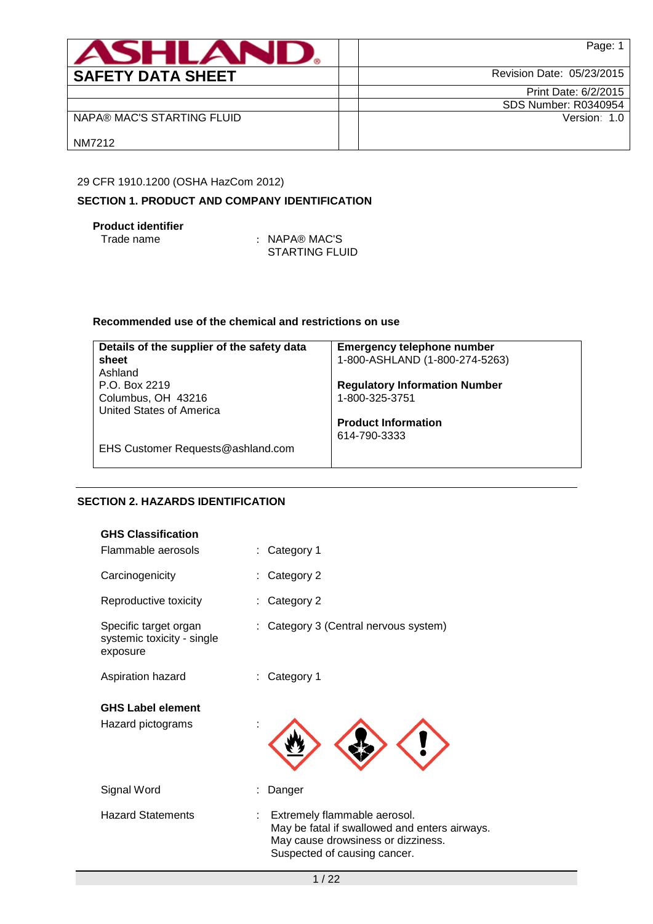| <b>ASHLANU</b>             | Page: 1                     |
|----------------------------|-----------------------------|
| <b>SAFETY DATA SHEET</b>   | Revision Date: 05/23/2015   |
|                            | Print Date: 6/2/2015        |
|                            | <b>SDS Number: R0340954</b> |
| NAPA® MAC'S STARTING FLUID | Version: 1.0                |
| NM7212                     |                             |

# 29 CFR 1910.1200 (OSHA HazCom 2012)

# **SECTION 1. PRODUCT AND COMPANY IDENTIFICATION**

# **Product identifier**

: NAPA® MAC'S STARTING FLUID

# **Recommended use of the chemical and restrictions on use**

| Details of the supplier of the safety data | <b>Emergency telephone number</b>    |
|--------------------------------------------|--------------------------------------|
| sheet                                      | 1-800-ASHLAND (1-800-274-5263)       |
| Ashland                                    |                                      |
| P.O. Box 2219                              | <b>Regulatory Information Number</b> |
| Columbus, OH 43216                         | 1-800-325-3751                       |
| United States of America                   |                                      |
|                                            | <b>Product Information</b>           |
|                                            | 614-790-3333                         |
| EHS Customer Requests@ashland.com          |                                      |
|                                            |                                      |

# **SECTION 2. HAZARDS IDENTIFICATION**

| <b>GHS Classification</b>                                       |                                                                                                                                                     |
|-----------------------------------------------------------------|-----------------------------------------------------------------------------------------------------------------------------------------------------|
| Flammable aerosols                                              | Category 1                                                                                                                                          |
| Carcinogenicity                                                 | Category 2                                                                                                                                          |
| Reproductive toxicity                                           | Category 2                                                                                                                                          |
| Specific target organ<br>systemic toxicity - single<br>exposure | Category 3 (Central nervous system)                                                                                                                 |
| Aspiration hazard                                               | Category 1                                                                                                                                          |
| <b>GHS Label element</b>                                        |                                                                                                                                                     |
| Hazard pictograms                                               |                                                                                                                                                     |
| Signal Word                                                     | Danger                                                                                                                                              |
| <b>Hazard Statements</b>                                        | Extremely flammable aerosol.<br>May be fatal if swallowed and enters airways.<br>May cause drowsiness or dizziness.<br>Suspected of causing cancer. |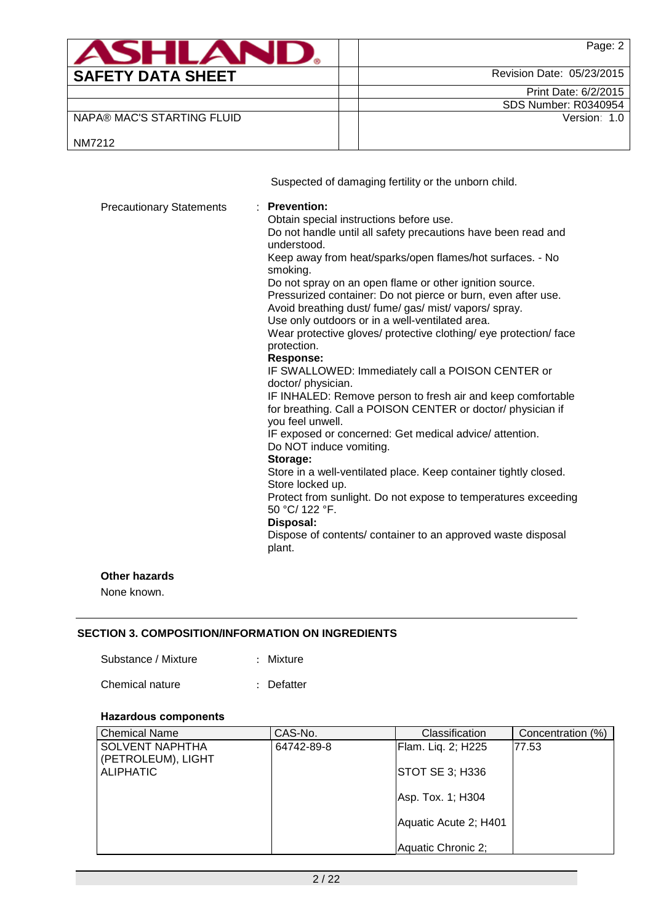|                                 | Page: 2                                                                                                                                                                                                                                                                                                                                                                                                                                                                                                                                                                                                                                                                                                                                                                                             |
|---------------------------------|-----------------------------------------------------------------------------------------------------------------------------------------------------------------------------------------------------------------------------------------------------------------------------------------------------------------------------------------------------------------------------------------------------------------------------------------------------------------------------------------------------------------------------------------------------------------------------------------------------------------------------------------------------------------------------------------------------------------------------------------------------------------------------------------------------|
| <b>SAFETY DATA SHEET</b>        | Revision Date: 05/23/2015                                                                                                                                                                                                                                                                                                                                                                                                                                                                                                                                                                                                                                                                                                                                                                           |
|                                 | Print Date: 6/2/2015                                                                                                                                                                                                                                                                                                                                                                                                                                                                                                                                                                                                                                                                                                                                                                                |
|                                 | <b>SDS Number: R0340954</b>                                                                                                                                                                                                                                                                                                                                                                                                                                                                                                                                                                                                                                                                                                                                                                         |
| NAPA® MAC'S STARTING FLUID      | Version: 1.0                                                                                                                                                                                                                                                                                                                                                                                                                                                                                                                                                                                                                                                                                                                                                                                        |
| NM7212                          |                                                                                                                                                                                                                                                                                                                                                                                                                                                                                                                                                                                                                                                                                                                                                                                                     |
|                                 | Suspected of damaging fertility or the unborn child.                                                                                                                                                                                                                                                                                                                                                                                                                                                                                                                                                                                                                                                                                                                                                |
| <b>Precautionary Statements</b> | <b>Prevention:</b><br>Obtain special instructions before use.<br>Do not handle until all safety precautions have been read and<br>understood.<br>Keep away from heat/sparks/open flames/hot surfaces. - No<br>smoking.<br>Do not spray on an open flame or other ignition source.<br>Pressurized container: Do not pierce or burn, even after use.<br>Avoid breathing dust/ fume/ gas/ mist/ vapors/ spray.<br>Use only outdoors or in a well-ventilated area.<br>Wear protective gloves/ protective clothing/ eye protection/ face<br>protection.<br><b>Response:</b><br>IF SWALLOWED: Immediately call a POISON CENTER or<br>doctor/ physician.<br>IF INHALED: Remove person to fresh air and keep comfortable<br>for breathing. Call a POISON CENTER or doctor/ physician if<br>you feel unwell. |

IF exposed or concerned: Get medical advice/ attention. Do NOT induce vomiting.

#### **Storage:**

Store in a well-ventilated place. Keep container tightly closed. Store locked up.

Protect from sunlight. Do not expose to temperatures exceeding 50 °C/ 122 °F.

# **Disposal:**

Dispose of contents/ container to an approved waste disposal plant.

#### **Other hazards**

None known.

# **SECTION 3. COMPOSITION/INFORMATION ON INGREDIENTS**

| Substance / Mixture |  |  | Mixture |
|---------------------|--|--|---------|
|---------------------|--|--|---------|

| Chemical nature | : Defatter |
|-----------------|------------|
|-----------------|------------|

## **Hazardous components**

| <b>Chemical Name</b>   | CAS-No.    | Classification         | Concentration (%) |
|------------------------|------------|------------------------|-------------------|
| <b>SOLVENT NAPHTHA</b> | 64742-89-8 | Flam. Liq. 2; H225     | 177.53            |
| (PETROLEUM), LIGHT     |            |                        |                   |
| <b>ALIPHATIC</b>       |            | <b>STOT SE 3; H336</b> |                   |
|                        |            |                        |                   |
|                        |            | Asp. Tox. 1; H304      |                   |
|                        |            | Aquatic Acute 2; H401  |                   |
|                        |            |                        |                   |
|                        |            | Aquatic Chronic 2;     |                   |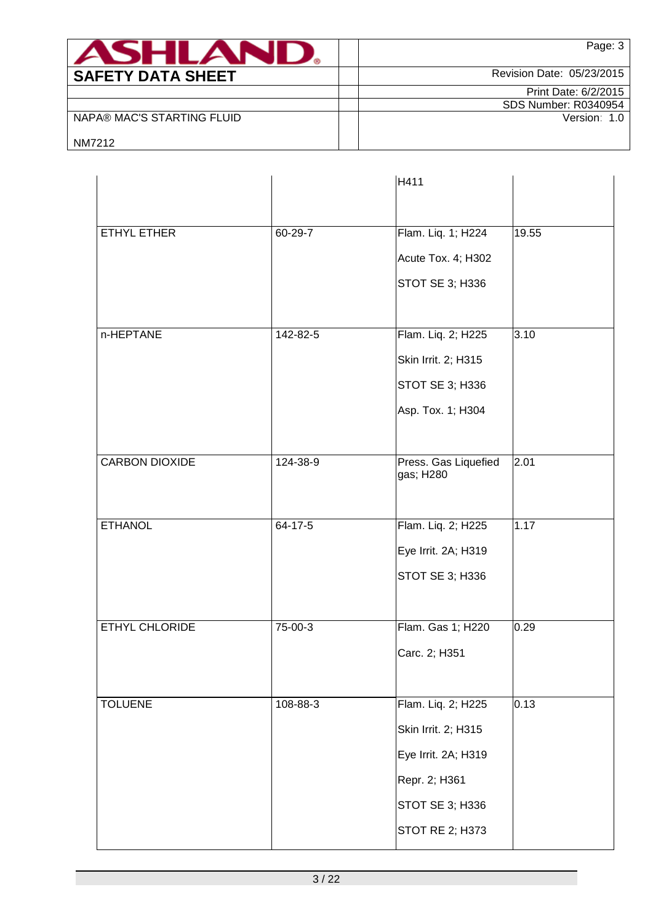| SHI AV                     | Page: 3                     |
|----------------------------|-----------------------------|
| <b>SAFETY DATA SHEET</b>   | Revision Date: 05/23/2015   |
|                            | Print Date: 6/2/2015        |
|                            | <b>SDS Number: R0340954</b> |
| NAPA® MAC'S STARTING FLUID | Version: 1.0                |
| NM7212                     |                             |

|                       |               | H411                              |       |
|-----------------------|---------------|-----------------------------------|-------|
|                       |               |                                   |       |
| ETHYL ETHER           | 60-29-7       | Flam. Liq. 1; H224                | 19.55 |
|                       |               | Acute Tox. 4; H302                |       |
|                       |               | STOT SE 3; H336                   |       |
|                       |               |                                   |       |
| n-HEPTANE             | 142-82-5      | Flam. Liq. 2; H225                | 3.10  |
|                       |               | Skin Irrit. 2; H315               |       |
|                       |               | <b>STOT SE 3; H336</b>            |       |
|                       |               | Asp. Tox. 1; H304                 |       |
|                       |               |                                   |       |
| <b>CARBON DIOXIDE</b> | 124-38-9      | Press. Gas Liquefied<br>gas; H280 | 2.01  |
|                       |               |                                   |       |
| <b>ETHANOL</b>        | $64 - 17 - 5$ | Flam. Liq. 2; H225                | 1.17  |
|                       |               | Eye Irrit. 2A; H319               |       |
|                       |               | STOT SE 3; H336                   |       |
|                       |               |                                   |       |
| ETHYL CHLORIDE        | 75-00-3       | Flam. Gas 1; H220                 | 0.29  |
|                       |               | Carc. 2; H351                     |       |
|                       |               |                                   |       |
| <b>TOLUENE</b>        | 108-88-3      | Flam. Liq. 2; H225                | 0.13  |
|                       |               | Skin Irrit. 2; H315               |       |
|                       |               | Eye Irrit. 2A; H319               |       |
|                       |               | Repr. 2; H361                     |       |
|                       |               | STOT SE 3; H336                   |       |
|                       |               | <b>STOT RE 2; H373</b>            |       |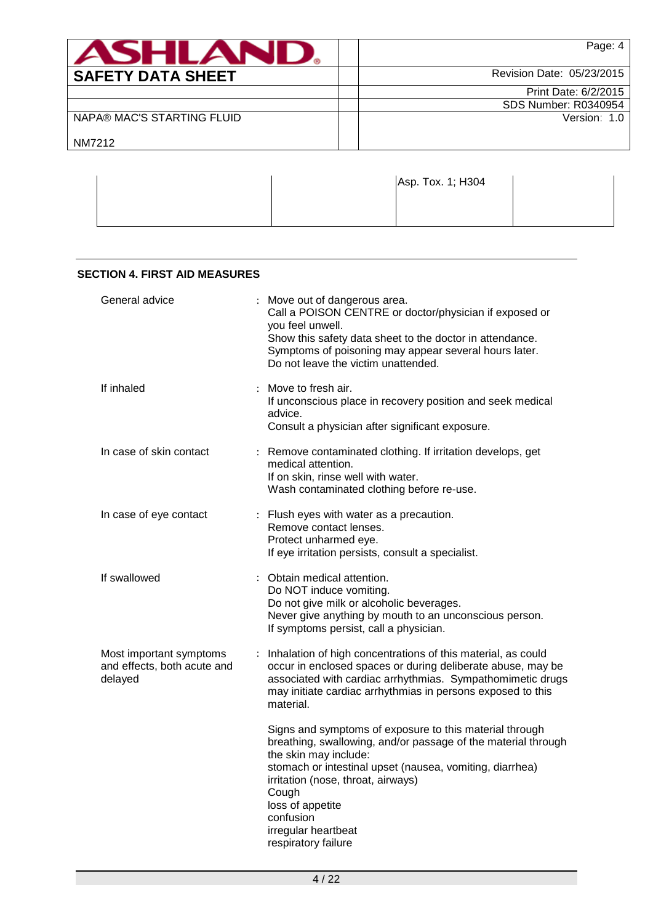| <b>ASHLAND</b>             | Page: 4                     |
|----------------------------|-----------------------------|
| <b>SAFETY DATA SHEET</b>   | Revision Date: 05/23/2015   |
|                            | Print Date: 6/2/2015        |
|                            | <b>SDS Number: R0340954</b> |
| NAPA® MAC'S STARTING FLUID | Version: 1.0                |
| NM7212                     |                             |

|  | Asp. Tox. 1; H304 |  |
|--|-------------------|--|
|  |                   |  |

| <b>SECTION 4. FIRST AID MEASURES</b>                              |                                                                                                                                                                                                                                                                                                                                             |
|-------------------------------------------------------------------|---------------------------------------------------------------------------------------------------------------------------------------------------------------------------------------------------------------------------------------------------------------------------------------------------------------------------------------------|
| General advice                                                    | : Move out of dangerous area.<br>Call a POISON CENTRE or doctor/physician if exposed or<br>you feel unwell.<br>Show this safety data sheet to the doctor in attendance.<br>Symptoms of poisoning may appear several hours later.<br>Do not leave the victim unattended.                                                                     |
| If inhaled                                                        | : Move to fresh air.<br>If unconscious place in recovery position and seek medical<br>advice.<br>Consult a physician after significant exposure.                                                                                                                                                                                            |
| In case of skin contact                                           | : Remove contaminated clothing. If irritation develops, get<br>medical attention.<br>If on skin, rinse well with water.<br>Wash contaminated clothing before re-use.                                                                                                                                                                        |
| In case of eye contact                                            | : Flush eyes with water as a precaution.<br>Remove contact lenses.<br>Protect unharmed eye.<br>If eye irritation persists, consult a specialist.                                                                                                                                                                                            |
| If swallowed                                                      | Obtain medical attention.<br>Do NOT induce vomiting.<br>Do not give milk or alcoholic beverages.<br>Never give anything by mouth to an unconscious person.<br>If symptoms persist, call a physician.                                                                                                                                        |
| Most important symptoms<br>and effects, both acute and<br>delayed | Inhalation of high concentrations of this material, as could<br>occur in enclosed spaces or during deliberate abuse, may be<br>associated with cardiac arrhythmias. Sympathomimetic drugs<br>may initiate cardiac arrhythmias in persons exposed to this<br>material.                                                                       |
|                                                                   | Signs and symptoms of exposure to this material through<br>breathing, swallowing, and/or passage of the material through<br>the skin may include:<br>stomach or intestinal upset (nausea, vomiting, diarrhea)<br>irritation (nose, throat, airways)<br>Cough<br>loss of appetite<br>confusion<br>irregular heartbeat<br>respiratory failure |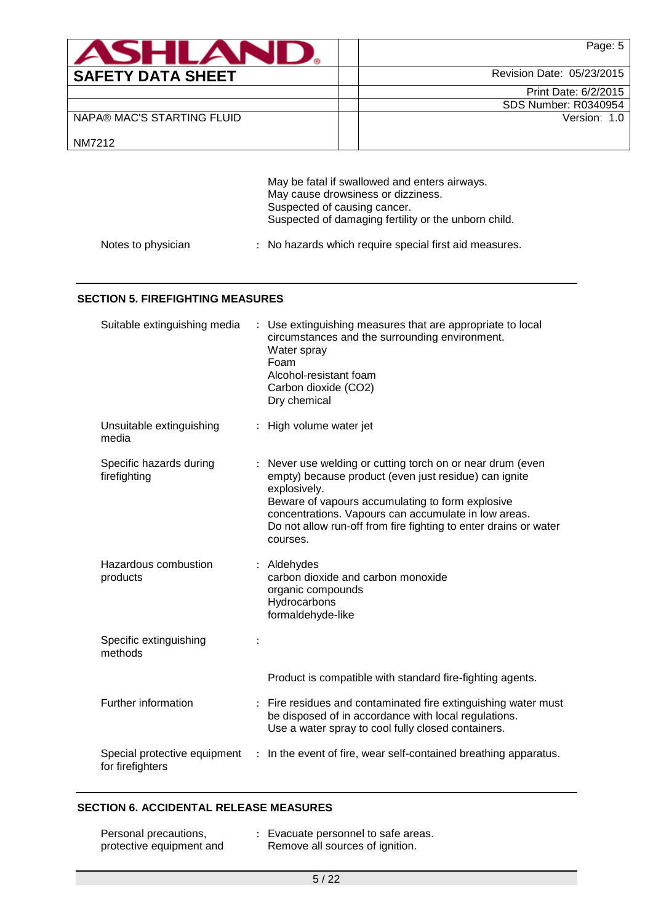| ASHI AN                    | Page: 5                   |
|----------------------------|---------------------------|
| <b>SAFETY DATA SHEET</b>   | Revision Date: 05/23/2015 |
|                            | Print Date: 6/2/2015      |
|                            | SDS Number: R0340954      |
| NAPA® MAC'S STARTING FLUID | Version: 1.0              |
| NM7212                     |                           |

|                    | May be fatal if swallowed and enters airways.          |  |  |  |  |  |
|--------------------|--------------------------------------------------------|--|--|--|--|--|
|                    | May cause drowsiness or dizziness.                     |  |  |  |  |  |
|                    | Suspected of causing cancer.                           |  |  |  |  |  |
|                    | Suspected of damaging fertility or the unborn child.   |  |  |  |  |  |
| Notes to physician | : No hazards which require special first aid measures. |  |  |  |  |  |

#### **SECTION 5. FIREFIGHTING MEASURES**

| Suitable extinguishing media                     |                | Use extinguishing measures that are appropriate to local<br>circumstances and the surrounding environment.<br>Water spray<br>Foam<br>Alcohol-resistant foam<br>Carbon dioxide (CO2)<br>Dry chemical                                                                                                                           |
|--------------------------------------------------|----------------|-------------------------------------------------------------------------------------------------------------------------------------------------------------------------------------------------------------------------------------------------------------------------------------------------------------------------------|
| Unsuitable extinguishing<br>media                |                | High volume water jet                                                                                                                                                                                                                                                                                                         |
| Specific hazards during<br>firefighting          |                | Never use welding or cutting torch on or near drum (even<br>empty) because product (even just residue) can ignite<br>explosively.<br>Beware of vapours accumulating to form explosive<br>concentrations. Vapours can accumulate in low areas.<br>Do not allow run-off from fire fighting to enter drains or water<br>courses. |
| Hazardous combustion<br>products                 |                | : Aldehydes<br>carbon dioxide and carbon monoxide<br>organic compounds<br>Hydrocarbons<br>formaldehyde-like                                                                                                                                                                                                                   |
| Specific extinguishing<br>methods                |                |                                                                                                                                                                                                                                                                                                                               |
|                                                  |                | Product is compatible with standard fire-fighting agents.                                                                                                                                                                                                                                                                     |
| Further information                              |                | : Fire residues and contaminated fire extinguishing water must<br>be disposed of in accordance with local regulations.<br>Use a water spray to cool fully closed containers.                                                                                                                                                  |
| Special protective equipment<br>for firefighters | $\ddot{\cdot}$ | In the event of fire, wear self-contained breathing apparatus.                                                                                                                                                                                                                                                                |

# **SECTION 6. ACCIDENTAL RELEASE MEASURES**

| Personal precautions,    | : Evacuate personnel to safe areas. |
|--------------------------|-------------------------------------|
| protective equipment and | Remove all sources of ignition.     |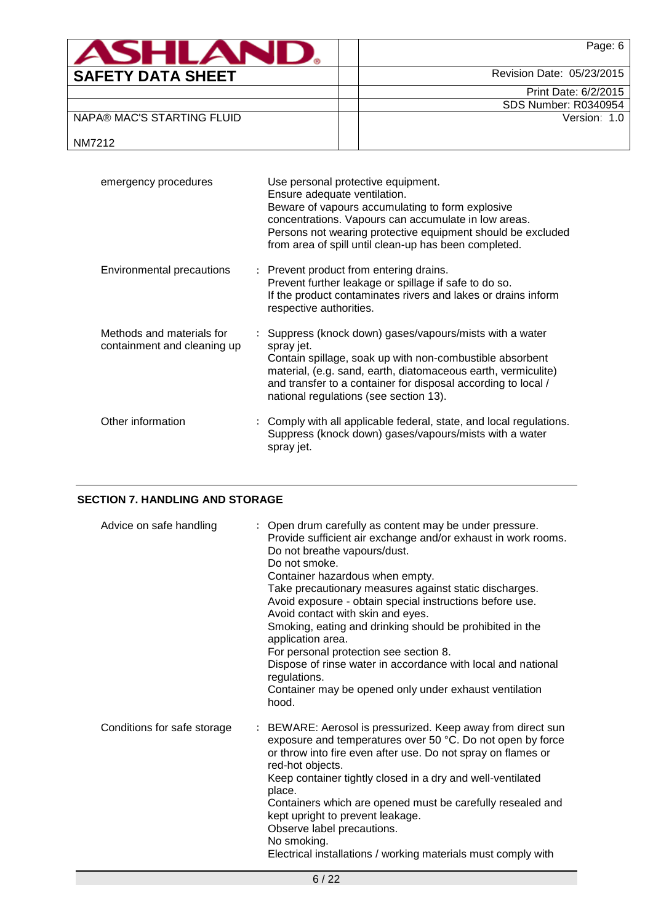| <b>ASHLAN</b>              | Page: 6                     |
|----------------------------|-----------------------------|
| <b>SAFETY DATA SHEET</b>   | Revision Date: 05/23/2015   |
|                            | Print Date: 6/2/2015        |
|                            | <b>SDS Number: R0340954</b> |
| NAPA® MAC'S STARTING FLUID | Version: 1.0                |
| NM7212                     |                             |

| emergency procedures                                     | Use personal protective equipment.<br>Ensure adequate ventilation.<br>Beware of vapours accumulating to form explosive<br>concentrations. Vapours can accumulate in low areas.<br>Persons not wearing protective equipment should be excluded<br>from area of spill until clean-up has been completed.         |
|----------------------------------------------------------|----------------------------------------------------------------------------------------------------------------------------------------------------------------------------------------------------------------------------------------------------------------------------------------------------------------|
| Environmental precautions                                | : Prevent product from entering drains.<br>Prevent further leakage or spillage if safe to do so.<br>If the product contaminates rivers and lakes or drains inform<br>respective authorities.                                                                                                                   |
| Methods and materials for<br>containment and cleaning up | : Suppress (knock down) gases/vapours/mists with a water<br>spray jet.<br>Contain spillage, soak up with non-combustible absorbent<br>material, (e.g. sand, earth, diatomaceous earth, vermiculite)<br>and transfer to a container for disposal according to local /<br>national regulations (see section 13). |
| Other information                                        | : Comply with all applicable federal, state, and local regulations.<br>Suppress (knock down) gases/vapours/mists with a water<br>spray jet.                                                                                                                                                                    |

# **SECTION 7. HANDLING AND STORAGE**

| Advice on safe handling     | : Open drum carefully as content may be under pressure.<br>Provide sufficient air exchange and/or exhaust in work rooms.<br>Do not breathe vapours/dust.<br>Do not smoke.<br>Container hazardous when empty.<br>Take precautionary measures against static discharges.<br>Avoid exposure - obtain special instructions before use.<br>Avoid contact with skin and eyes.<br>Smoking, eating and drinking should be prohibited in the<br>application area.<br>For personal protection see section 8.<br>Dispose of rinse water in accordance with local and national<br>regulations.<br>Container may be opened only under exhaust ventilation<br>hood. |
|-----------------------------|-------------------------------------------------------------------------------------------------------------------------------------------------------------------------------------------------------------------------------------------------------------------------------------------------------------------------------------------------------------------------------------------------------------------------------------------------------------------------------------------------------------------------------------------------------------------------------------------------------------------------------------------------------|
| Conditions for safe storage | : BEWARE: Aerosol is pressurized. Keep away from direct sun<br>exposure and temperatures over 50 °C. Do not open by force<br>or throw into fire even after use. Do not spray on flames or<br>red-hot objects.<br>Keep container tightly closed in a dry and well-ventilated<br>place.<br>Containers which are opened must be carefully resealed and<br>kept upright to prevent leakage.<br>Observe label precautions.<br>No smoking.<br>Electrical installations / working materials must comply with                                                                                                                                                 |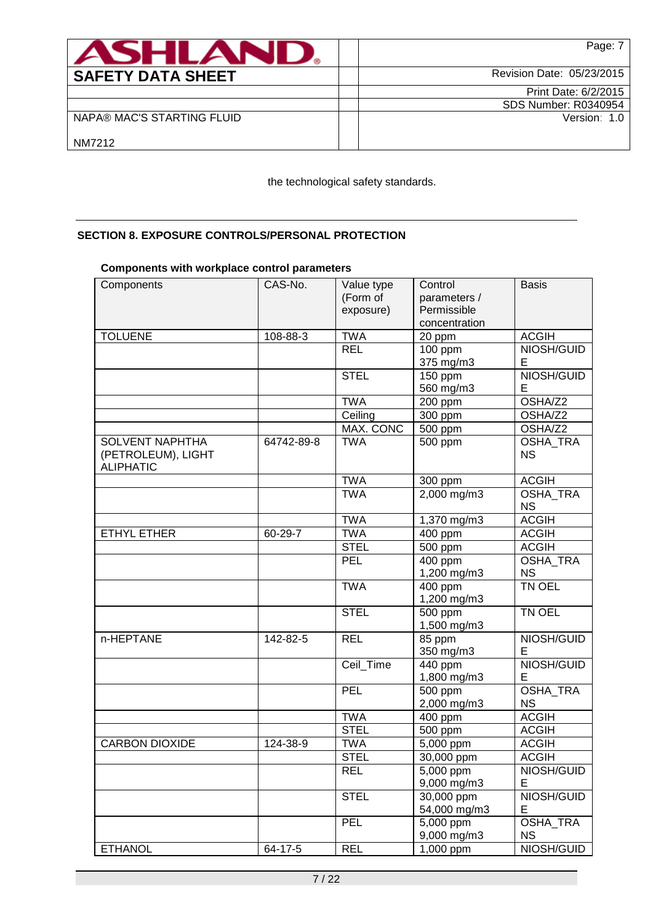| <b>ASHLAN</b>              | Page: 7                   |
|----------------------------|---------------------------|
| <b>SAFETY DATA SHEET</b>   | Revision Date: 05/23/2015 |
|                            | Print Date: 6/2/2015      |
|                            | SDS Number: R0340954      |
| NAPA® MAC'S STARTING FLUID | Version: 1.0              |
| NM7212                     |                           |

the technological safety standards.

# **SECTION 8. EXPOSURE CONTROLS/PERSONAL PROTECTION**

# **Components with workplace control parameters**

| Components                                                       | CAS-No.    | Value type<br>(Form of<br>exposure) | Control<br>parameters /<br>Permissible | <b>Basis</b>                 |
|------------------------------------------------------------------|------------|-------------------------------------|----------------------------------------|------------------------------|
|                                                                  |            |                                     | concentration                          |                              |
| <b>TOLUENE</b>                                                   | 108-88-3   | <b>TWA</b>                          | 20 ppm                                 | <b>ACGIH</b>                 |
|                                                                  |            | <b>REL</b>                          | 100 ppm                                | NIOSH/GUID                   |
|                                                                  |            |                                     | 375 mg/m3                              | Е                            |
|                                                                  |            | <b>STEL</b>                         | 150 ppm                                | NIOSH/GUID                   |
|                                                                  |            |                                     | 560 mg/m3                              | Е                            |
|                                                                  |            | <b>TWA</b>                          | 200 ppm                                | OSHA/Z2                      |
|                                                                  |            | Ceiling                             | 300 ppm                                | OSHA/Z2                      |
|                                                                  |            | <b>MAX. CONC</b>                    | 500 ppm                                | OSHA/Z2                      |
| <b>SOLVENT NAPHTHA</b><br>(PETROLEUM), LIGHT<br><b>ALIPHATIC</b> | 64742-89-8 | <b>TWA</b>                          | 500 ppm                                | OSHA_TRA<br><b>NS</b>        |
|                                                                  |            | <b>TWA</b>                          | 300 ppm                                | <b>ACGIH</b>                 |
|                                                                  |            | <b>TWA</b>                          | 2,000 mg/m3                            | <b>OSHA TRA</b><br><b>NS</b> |
|                                                                  |            | <b>TWA</b>                          | 1,370 mg/m3                            | <b>ACGIH</b>                 |
| <b>ETHYL ETHER</b>                                               | 60-29-7    | <b>TWA</b>                          | 400 ppm                                | <b>ACGIH</b>                 |
|                                                                  |            | <b>STEL</b>                         | $\overline{500}$ ppm                   | <b>ACGIH</b>                 |
|                                                                  |            | <b>PEL</b>                          | 400 ppm                                | OSHA_TRA                     |
|                                                                  |            |                                     | 1,200 mg/m3                            | <b>NS</b>                    |
|                                                                  |            | <b>TWA</b>                          | $\overline{400}$ ppm<br>1,200 mg/m3    | <b>TN OEL</b>                |
|                                                                  |            | <b>STEL</b>                         | 500 ppm                                | TN OEL                       |
|                                                                  |            |                                     | 1,500 mg/m3                            |                              |
| n-HEPTANE                                                        | 142-82-5   | <b>REL</b>                          | 85 ppm                                 | NIOSH/GUID                   |
|                                                                  |            |                                     | 350 mg/m3                              | Е                            |
|                                                                  |            | Ceil_Time                           | 440 ppm                                | NIOSH/GUID                   |
|                                                                  |            |                                     | 1,800 mg/m3                            | Е                            |
|                                                                  |            | <b>PEL</b>                          | 500 ppm<br>2,000 mg/m3                 | OSHA_TRA<br><b>NS</b>        |
|                                                                  |            | <b>TWA</b>                          | 400 ppm                                | <b>ACGIH</b>                 |
|                                                                  |            | <b>STEL</b>                         | 500 ppm                                | <b>ACGIH</b>                 |
| <b>CARBON DIOXIDE</b>                                            | 124-38-9   | <b>TWA</b>                          | 5,000 ppm                              | <b>ACGIH</b>                 |
|                                                                  |            | <b>STEL</b>                         | 30,000 ppm                             | <b>ACGIH</b>                 |
|                                                                  |            | <b>REL</b>                          | 5,000 ppm                              | NIOSH/GUID                   |
|                                                                  |            |                                     | 9,000 mg/m3                            | Е                            |
|                                                                  |            | <b>STEL</b>                         | 30,000 ppm                             | NIOSH/GUID                   |
|                                                                  |            |                                     | 54,000 mg/m3                           | Е                            |
|                                                                  |            | PEL                                 | 5,000 ppm                              | OSHA_TRA                     |
|                                                                  |            |                                     | 9,000 mg/m3                            | <b>NS</b>                    |
| <b>ETHANOL</b>                                                   | 64-17-5    | <b>REL</b>                          | 1,000 ppm                              | NIOSH/GUID                   |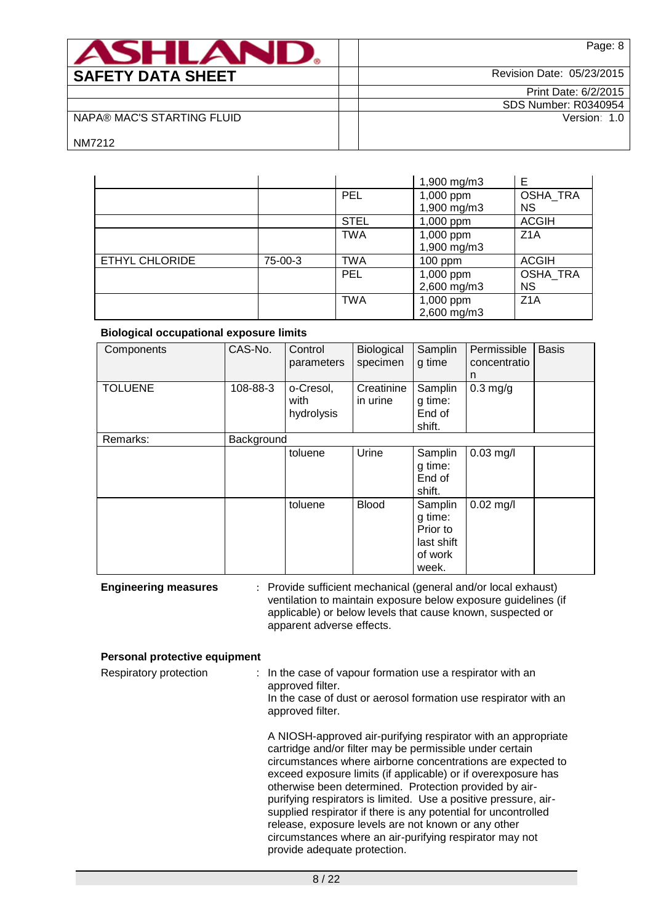| <b>ASHLAM</b>              | Page: 8                     |
|----------------------------|-----------------------------|
| <b>SAFETY DATA SHEET</b>   | Revision Date: 05/23/2015   |
|                            | Print Date: 6/2/2015        |
|                            | <b>SDS Number: R0340954</b> |
| NAPA® MAC'S STARTING FLUID | Version: 1.0                |
| NM7212                     |                             |

|                       |         |             | 1,900 mg/m3              | Е                            |
|-----------------------|---------|-------------|--------------------------|------------------------------|
|                       |         | <b>PEL</b>  | 1,000 ppm<br>1,900 mg/m3 | OSHA_TRA<br><b>NS</b>        |
|                       |         | <b>STEL</b> | 1,000 ppm                | <b>ACGIH</b>                 |
|                       |         | <b>TWA</b>  | 1,000 ppm<br>1,900 mg/m3 | Z <sub>1</sub> A             |
| <b>ETHYL CHLORIDE</b> | 75-00-3 | <b>TWA</b>  | $100$ ppm                | <b>ACGIH</b>                 |
|                       |         | <b>PEL</b>  | 1,000 ppm<br>2,600 mg/m3 | <b>OSHA TRA</b><br><b>NS</b> |
|                       |         | <b>TWA</b>  | 1,000 ppm<br>2,600 mg/m3 | Z <sub>1</sub> A             |

#### **Biological occupational exposure limits**

| Components     | CAS-No.    | Control<br>parameters           | <b>Biological</b><br>specimen | Samplin<br>g time                                                | Permissible<br>concentratio<br>n | <b>Basis</b> |
|----------------|------------|---------------------------------|-------------------------------|------------------------------------------------------------------|----------------------------------|--------------|
| <b>TOLUENE</b> | 108-88-3   | o-Cresol,<br>with<br>hydrolysis | Creatinine<br>in urine        | Samplin<br>g time:<br>End of<br>shift.                           | $0.3$ mg/g                       |              |
| Remarks:       | Background |                                 |                               |                                                                  |                                  |              |
|                |            | toluene                         | Urine                         | Samplin<br>g time:<br>End of<br>shift.                           | $0.03$ mg/l                      |              |
|                |            | toluene                         | <b>Blood</b>                  | Samplin<br>g time:<br>Prior to<br>last shift<br>of work<br>week. | $0.02$ mg/l                      |              |

**Engineering measures** : Provide sufficient mechanical (general and/or local exhaust) ventilation to maintain exposure below exposure guidelines (if applicable) or below levels that cause known, suspected or apparent adverse effects.

#### **Personal protective equipment**

| Respiratory protection | : In the case of vapour formation use a respirator with an<br>approved filter.<br>In the case of dust or aerosol formation use respirator with an<br>approved filter.                                                                                                                                                                                                                                                                                                                                                                                                      |  |
|------------------------|----------------------------------------------------------------------------------------------------------------------------------------------------------------------------------------------------------------------------------------------------------------------------------------------------------------------------------------------------------------------------------------------------------------------------------------------------------------------------------------------------------------------------------------------------------------------------|--|
|                        | A NIOSH-approved air-purifying respirator with an appropriate<br>cartridge and/or filter may be permissible under certain<br>circumstances where airborne concentrations are expected to<br>exceed exposure limits (if applicable) or if overexposure has<br>otherwise been determined. Protection provided by air-<br>purifying respirators is limited. Use a positive pressure, air-<br>supplied respirator if there is any potential for uncontrolled<br>release, exposure levels are not known or any other<br>circumstances where an air-purifying respirator may not |  |

provide adequate protection.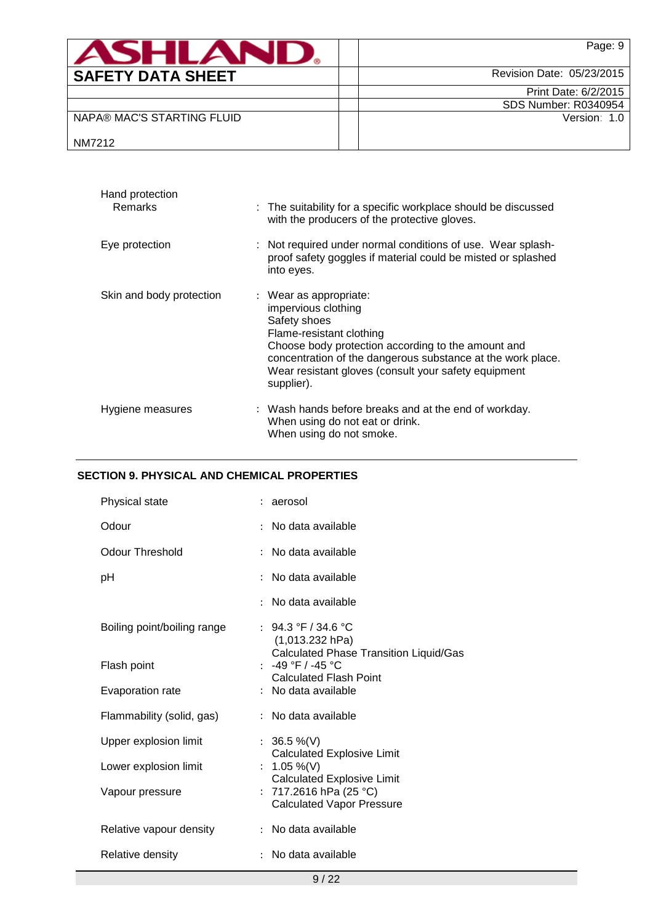| <b>ASHLAND.</b>            | Page: 9                     |
|----------------------------|-----------------------------|
| <b>SAFETY DATA SHEET</b>   | Revision Date: 05/23/2015   |
|                            | Print Date: 6/2/2015        |
|                            | <b>SDS Number: R0340954</b> |
| NAPA® MAC'S STARTING FLUID | Version: 1.0                |
| NM7212                     |                             |

| Hand protection<br><b>Remarks</b> | : The suitability for a specific workplace should be discussed<br>with the producers of the protective gloves.                                                                                                                                                                       |
|-----------------------------------|--------------------------------------------------------------------------------------------------------------------------------------------------------------------------------------------------------------------------------------------------------------------------------------|
| Eye protection                    | : Not required under normal conditions of use. Wear splash-<br>proof safety goggles if material could be misted or splashed<br>into eyes.                                                                                                                                            |
| Skin and body protection          | : Wear as appropriate:<br>impervious clothing<br>Safety shoes<br>Flame-resistant clothing<br>Choose body protection according to the amount and<br>concentration of the dangerous substance at the work place.<br>Wear resistant gloves (consult your safety equipment<br>supplier). |
| Hygiene measures                  | : Wash hands before breaks and at the end of workday.<br>When using do not eat or drink.<br>When using do not smoke.                                                                                                                                                                 |

# **SECTION 9. PHYSICAL AND CHEMICAL PROPERTIES**

| Physical state              |                      | : aerosol                                                                                       |
|-----------------------------|----------------------|-------------------------------------------------------------------------------------------------|
| Odour                       | ÷                    | No data available                                                                               |
| <b>Odour Threshold</b>      | $\ddot{\cdot}$       | No data available                                                                               |
| рH                          | ÷                    | No data available                                                                               |
|                             | ٠                    | No data available                                                                               |
| Boiling point/boiling range |                      | : 94.3 °F / 34.6 °C<br>(1,013.232 hPa)<br><b>Calculated Phase Transition Liquid/Gas</b>         |
| Flash point                 |                      | -49 °F / -45 °C                                                                                 |
| Evaporation rate            |                      | <b>Calculated Flash Point</b><br>: No data available                                            |
| Flammability (solid, gas)   |                      | : No data available                                                                             |
| Upper explosion limit       |                      | : $36.5\%$ (V)                                                                                  |
| Lower explosion limit       | $\ddot{\phantom{a}}$ | <b>Calculated Explosive Limit</b><br>1.05 %(V)                                                  |
| Vapour pressure             |                      | <b>Calculated Explosive Limit</b><br>: 717.2616 hPa (25 °C)<br><b>Calculated Vapor Pressure</b> |
| Relative vapour density     |                      | No data available                                                                               |
| Relative density            |                      | No data available                                                                               |
|                             |                      |                                                                                                 |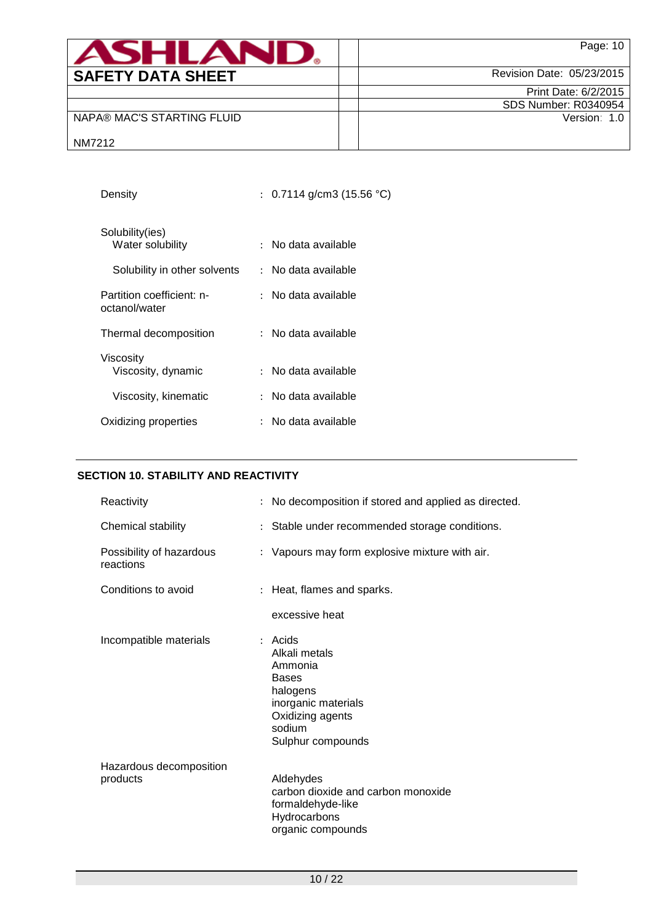| <b>ASHLAN</b>              | Page: 10                    |
|----------------------------|-----------------------------|
| <b>SAFETY DATA SHEET</b>   | Revision Date: 05/23/2015   |
|                            | Print Date: 6/2/2015        |
|                            | <b>SDS Number: R0340954</b> |
| NAPA® MAC'S STARTING FLUID | Version: 1.0                |
| NM7212                     |                             |

| Density                                    | : 0.7114 g/cm3 (15.56 °C)                 |
|--------------------------------------------|-------------------------------------------|
| Solubility(ies)<br>Water solubility        | No data available<br>$\ddot{\phantom{a}}$ |
| Solubility in other solvents               | : No data available                       |
| Partition coefficient: n-<br>octanol/water | : No data available                       |
| Thermal decomposition                      | :   No data available                     |
| Viscosity<br>Viscosity, dynamic            | : No data available                       |
| Viscosity, kinematic                       | : No data available                       |
| Oxidizing properties                       | No data available                         |
|                                            |                                           |

# **SECTION 10. STABILITY AND REACTIVITY**

| Reactivity                            | : No decomposition if stored and applied as directed.                                                                                       |
|---------------------------------------|---------------------------------------------------------------------------------------------------------------------------------------------|
| Chemical stability                    | : Stable under recommended storage conditions.                                                                                              |
| Possibility of hazardous<br>reactions | : Vapours may form explosive mixture with air.                                                                                              |
| Conditions to avoid                   | : Heat, flames and sparks.                                                                                                                  |
|                                       | excessive heat                                                                                                                              |
| Incompatible materials                | $:$ Acids<br>Alkali metals<br>Ammonia<br><b>Bases</b><br>halogens<br>inorganic materials<br>Oxidizing agents<br>sodium<br>Sulphur compounds |
| Hazardous decomposition<br>products   | Aldehydes<br>carbon dioxide and carbon monoxide<br>formaldehyde-like<br>Hydrocarbons<br>organic compounds                                   |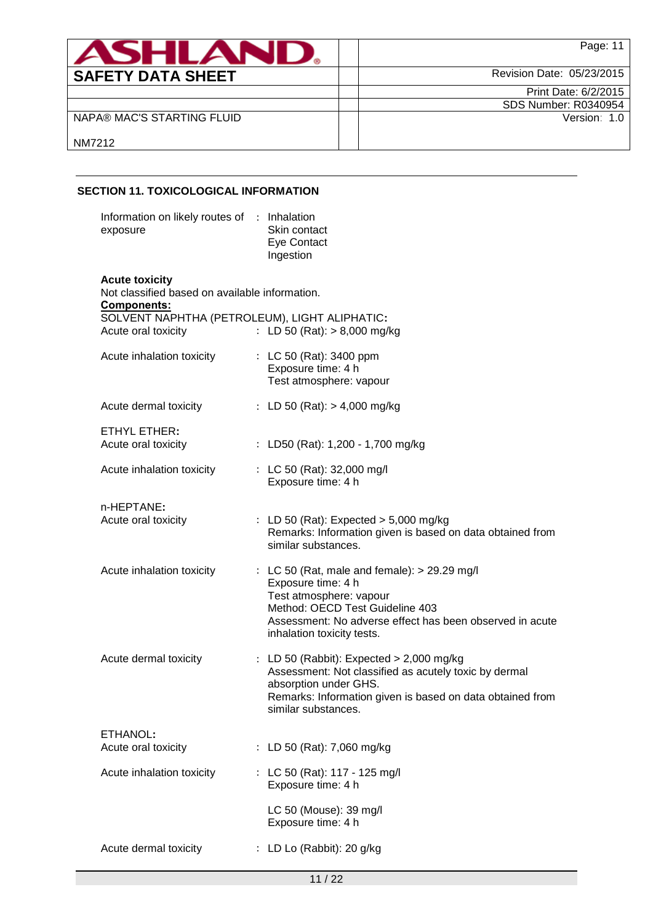| <b>ASHLAN</b>              | Page: 11                    |
|----------------------------|-----------------------------|
| <b>SAFETY DATA SHEET</b>   | Revision Date: 05/23/2015   |
|                            | Print Date: 6/2/2015        |
|                            | <b>SDS Number: R0340954</b> |
| NAPA® MAC'S STARTING FLUID | Version: 1.0                |
| NM7212                     |                             |

# **SECTION 11. TOXICOLOGICAL INFORMATION**

| Information on likely routes of : Inhalation<br>exposure                               | Skin contact<br>Eye Contact<br>Ingestion                                                                                                                                                                                   |  |  |  |
|----------------------------------------------------------------------------------------|----------------------------------------------------------------------------------------------------------------------------------------------------------------------------------------------------------------------------|--|--|--|
| <b>Acute toxicity</b><br>Not classified based on available information.<br>Components: |                                                                                                                                                                                                                            |  |  |  |
| SOLVENT NAPHTHA (PETROLEUM), LIGHT ALIPHATIC:<br>Acute oral toxicity                   | : LD 50 (Rat): $> 8,000$ mg/kg                                                                                                                                                                                             |  |  |  |
| Acute inhalation toxicity                                                              | : LC 50 (Rat): 3400 ppm<br>Exposure time: 4 h<br>Test atmosphere: vapour                                                                                                                                                   |  |  |  |
| Acute dermal toxicity                                                                  | : LD 50 (Rat): $> 4,000$ mg/kg                                                                                                                                                                                             |  |  |  |
| ETHYL ETHER:<br>Acute oral toxicity                                                    | : LD50 (Rat): 1,200 - 1,700 mg/kg                                                                                                                                                                                          |  |  |  |
| Acute inhalation toxicity                                                              | : LC 50 (Rat): 32,000 mg/l<br>Exposure time: 4 h                                                                                                                                                                           |  |  |  |
| n-HEPTANE:<br>Acute oral toxicity                                                      | : LD 50 (Rat): Expected $> 5,000$ mg/kg<br>Remarks: Information given is based on data obtained from<br>similar substances.                                                                                                |  |  |  |
| Acute inhalation toxicity                                                              | : LC 50 (Rat, male and female): > 29.29 mg/l<br>Exposure time: 4 h<br>Test atmosphere: vapour<br>Method: OECD Test Guideline 403<br>Assessment: No adverse effect has been observed in acute<br>inhalation toxicity tests. |  |  |  |
| Acute dermal toxicity                                                                  | : LD 50 (Rabbit): Expected $> 2,000$ mg/kg<br>Assessment: Not classified as acutely toxic by dermal<br>absorption under GHS.<br>Remarks: Information given is based on data obtained from<br>similar substances.           |  |  |  |
| ETHANOL:<br>Acute oral toxicity                                                        | : LD 50 (Rat): 7,060 mg/kg                                                                                                                                                                                                 |  |  |  |
| Acute inhalation toxicity                                                              | : LC 50 (Rat): 117 - 125 mg/l<br>Exposure time: 4 h                                                                                                                                                                        |  |  |  |
|                                                                                        | LC 50 (Mouse): 39 mg/l<br>Exposure time: 4 h                                                                                                                                                                               |  |  |  |
| Acute dermal toxicity                                                                  | : LD Lo (Rabbit): 20 g/kg                                                                                                                                                                                                  |  |  |  |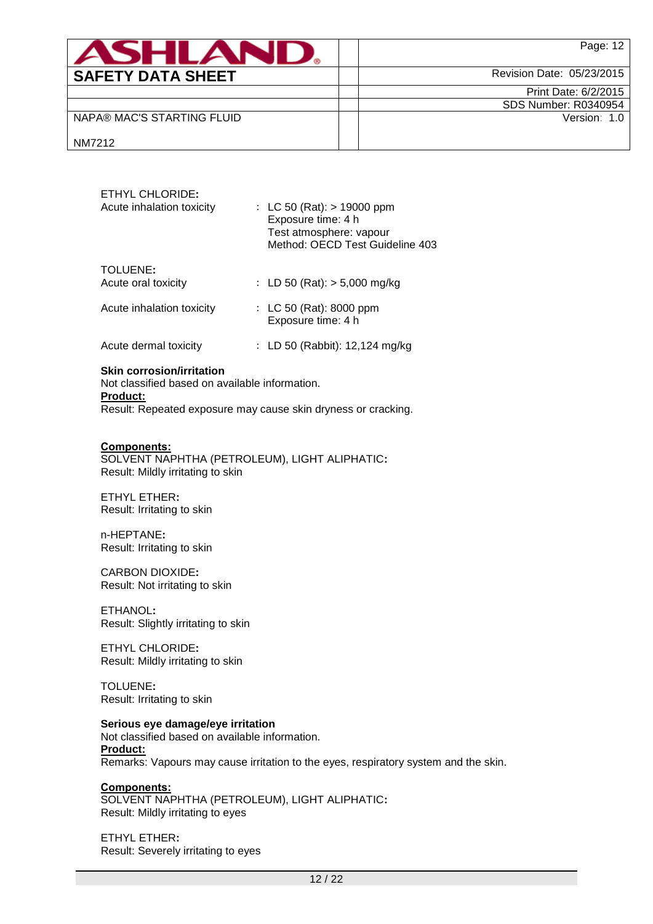| <b>ASHLAI</b>              | Page: 12                    |
|----------------------------|-----------------------------|
| <b>SAFETY DATA SHEET</b>   | Revision Date: 05/23/2015   |
|                            | Print Date: 6/2/2015        |
|                            | <b>SDS Number: R0340954</b> |
| NAPA® MAC'S STARTING FLUID | Version: 1.0                |
| NM7212                     |                             |

| <b>ETHYL CHLORIDE:</b><br>Acute inhalation toxicity | : LC 50 (Rat): $> 19000$ ppm<br>Exposure time: 4 h<br>Test atmosphere: vapour<br>Method: OECD Test Guideline 403 |
|-----------------------------------------------------|------------------------------------------------------------------------------------------------------------------|
| TOLUENE:<br>Acute oral toxicity                     | : LD 50 (Rat): $>$ 5,000 mg/kg                                                                                   |
| Acute inhalation toxicity                           | : LC 50 (Rat): 8000 ppm<br>Exposure time: 4 h                                                                    |
| Acute dermal toxicity                               | : LD 50 (Rabbit): 12,124 mg/kg                                                                                   |

## **Skin corrosion/irritation**

Not classified based on available information. **Product:** Result: Repeated exposure may cause skin dryness or cracking.

# **Components:**

SOLVENT NAPHTHA (PETROLEUM), LIGHT ALIPHATIC**:** Result: Mildly irritating to skin

ETHYL ETHER**:** Result: Irritating to skin

n-HEPTANE**:** Result: Irritating to skin

CARBON DIOXIDE**:** Result: Not irritating to skin

ETHANOL**:** Result: Slightly irritating to skin

ETHYL CHLORIDE**:** Result: Mildly irritating to skin

TOLUENE**:** Result: Irritating to skin

#### **Serious eye damage/eye irritation**

Not classified based on available information. **Product:** Remarks: Vapours may cause irritation to the eyes, respiratory system and the skin.

#### **Components:**

SOLVENT NAPHTHA (PETROLEUM), LIGHT ALIPHATIC**:** Result: Mildly irritating to eyes

ETHYL ETHER**:** Result: Severely irritating to eyes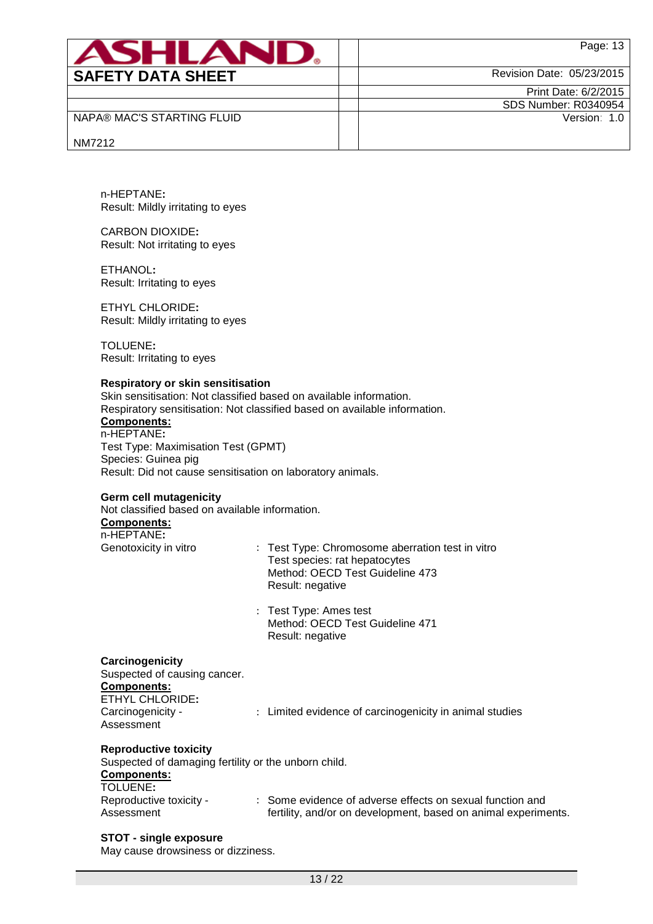|                                                                                                                                                                                                                                                                                                                                               |                                            | Page: 13                                                                                                             |
|-----------------------------------------------------------------------------------------------------------------------------------------------------------------------------------------------------------------------------------------------------------------------------------------------------------------------------------------------|--------------------------------------------|----------------------------------------------------------------------------------------------------------------------|
| <b>SAFETY DATA SHEET</b>                                                                                                                                                                                                                                                                                                                      |                                            | Revision Date: 05/23/2015                                                                                            |
|                                                                                                                                                                                                                                                                                                                                               |                                            | Print Date: 6/2/2015                                                                                                 |
| NAPA® MAC'S STARTING FLUID                                                                                                                                                                                                                                                                                                                    |                                            | SDS Number: R0340954<br>Version: 1.0                                                                                 |
|                                                                                                                                                                                                                                                                                                                                               |                                            |                                                                                                                      |
| NM7212                                                                                                                                                                                                                                                                                                                                        |                                            |                                                                                                                      |
| n-HEPTANE:<br>Result: Mildly irritating to eyes                                                                                                                                                                                                                                                                                               |                                            |                                                                                                                      |
| <b>CARBON DIOXIDE:</b><br>Result: Not irritating to eyes                                                                                                                                                                                                                                                                                      |                                            |                                                                                                                      |
| ETHANOL:<br>Result: Irritating to eyes                                                                                                                                                                                                                                                                                                        |                                            |                                                                                                                      |
| <b>ETHYL CHLORIDE:</b><br>Result: Mildly irritating to eyes                                                                                                                                                                                                                                                                                   |                                            |                                                                                                                      |
| <b>TOLUENE:</b><br>Result: Irritating to eyes                                                                                                                                                                                                                                                                                                 |                                            |                                                                                                                      |
| Respiratory or skin sensitisation<br>Skin sensitisation: Not classified based on available information.<br>Respiratory sensitisation: Not classified based on available information.<br>Components:<br>n-HEPTANE:<br>Test Type: Maximisation Test (GPMT)<br>Species: Guinea pig<br>Result: Did not cause sensitisation on laboratory animals. |                                            |                                                                                                                      |
| <b>Germ cell mutagenicity</b><br>Not classified based on available information.<br>Components:<br>n-HEPTANE:                                                                                                                                                                                                                                  |                                            |                                                                                                                      |
| Genotoxicity in vitro                                                                                                                                                                                                                                                                                                                         | Result: negative                           | : Test Type: Chromosome aberration test in vitro<br>Test species: rat hepatocytes<br>Method: OECD Test Guideline 473 |
|                                                                                                                                                                                                                                                                                                                                               | : Test Type: Ames test<br>Result: negative | Method: OECD Test Guideline 471                                                                                      |
| Carcinogenicity<br>Suspected of causing cancer.<br><b>Components:</b>                                                                                                                                                                                                                                                                         |                                            |                                                                                                                      |
| <b>ETHYL CHLORIDE:</b><br>Carcinogenicity -                                                                                                                                                                                                                                                                                                   |                                            | : Limited evidence of carcinogenicity in animal studies                                                              |

# **Reproductive toxicity**

Assessment

Suspected of damaging fertility or the unborn child. **Components:** TOLUENE**:** Reproductive toxicity - Assessment : Some evidence of adverse effects on sexual function and fertility, and/or on development, based on animal experiments.

## **STOT - single exposure**

May cause drowsiness or dizziness.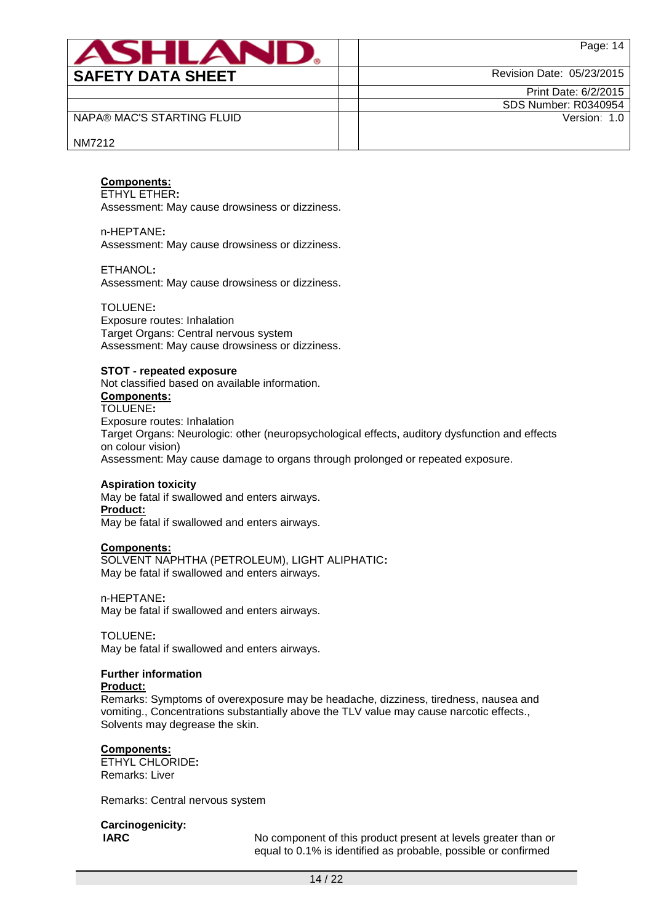| ANHI AI                    | Page: 14                  |
|----------------------------|---------------------------|
| <b>SAFETY DATA SHEET</b>   | Revision Date: 05/23/2015 |
|                            | Print Date: 6/2/2015      |
|                            | SDS Number: R0340954      |
| NAPA® MAC'S STARTING FLUID | Version: 1.0              |
| NM7212                     |                           |

#### **Components:**

ETHYL ETHER**:**

Assessment: May cause drowsiness or dizziness.

n-HEPTANE**:** Assessment: May cause drowsiness or dizziness.

ETHANOL**:**

Assessment: May cause drowsiness or dizziness.

TOLUENE**:**

Exposure routes: Inhalation Target Organs: Central nervous system Assessment: May cause drowsiness or dizziness.

#### **STOT - repeated exposure**

Not classified based on available information. **Components:** TOLUENE**:** Exposure routes: Inhalation Target Organs: Neurologic: other (neuropsychological effects, auditory dysfunction and effects on colour vision)

Assessment: May cause damage to organs through prolonged or repeated exposure.

#### **Aspiration toxicity**

May be fatal if swallowed and enters airways. **Product:** May be fatal if swallowed and enters airways.

#### **Components:**

SOLVENT NAPHTHA (PETROLEUM), LIGHT ALIPHATIC**:** May be fatal if swallowed and enters airways.

n-HEPTANE**:**

May be fatal if swallowed and enters airways.

TOLUENE**:**

May be fatal if swallowed and enters airways.

#### **Further information**

#### **Product:**

Remarks: Symptoms of overexposure may be headache, dizziness, tiredness, nausea and vomiting., Concentrations substantially above the TLV value may cause narcotic effects., Solvents may degrease the skin.

#### **Components:**

ETHYL CHLORIDE**:** Remarks: Liver

Remarks: Central nervous system

**Carcinogenicity:**

**IARC** No component of this product present at levels greater than or equal to 0.1% is identified as probable, possible or confirmed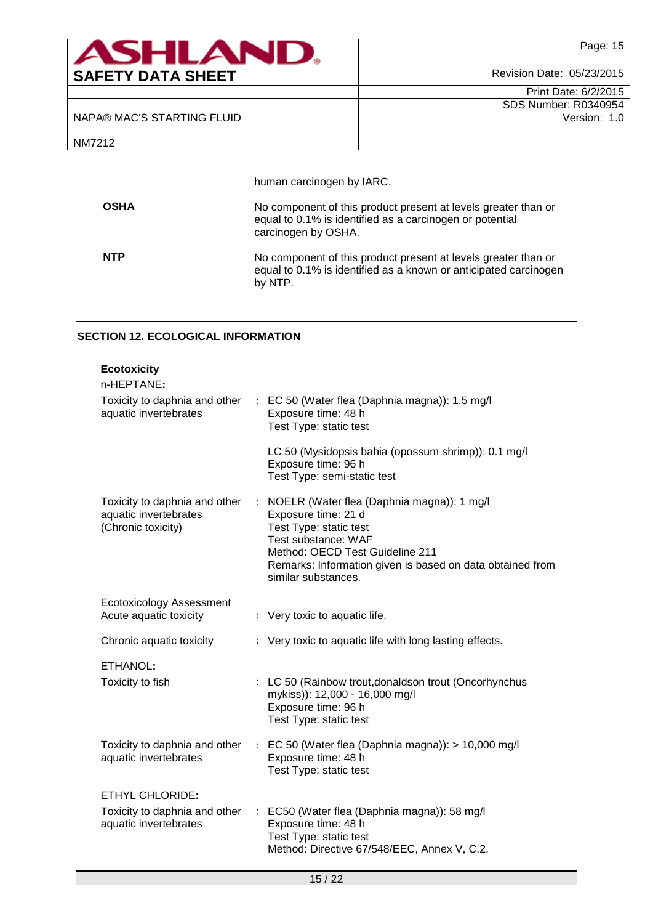| <b>ASHLAN</b>              | Page: 15                    |
|----------------------------|-----------------------------|
| <b>SAFETY DATA SHEET</b>   | Revision Date: 05/23/2015   |
|                            | Print Date: 6/2/2015        |
|                            | <b>SDS Number: R0340954</b> |
| NAPA® MAC'S STARTING FLUID | Version: 1.0                |
| NM7212                     |                             |

human carcinogen by IARC.

| <b>OSHA</b> | No component of this product present at levels greater than or<br>equal to 0.1% is identified as a carcinogen or potential<br>carcinogen by OSHA. |
|-------------|---------------------------------------------------------------------------------------------------------------------------------------------------|
| <b>NTP</b>  | No component of this product present at levels greater than or<br>equal to 0.1% is identified as a known or anticipated carcinogen<br>by NTP.     |

# **SECTION 12. ECOLOGICAL INFORMATION**

| <b>Ecotoxicity</b><br>n-HEPTANE:                                             |                           |                                                                                                                                                                                                                                           |
|------------------------------------------------------------------------------|---------------------------|-------------------------------------------------------------------------------------------------------------------------------------------------------------------------------------------------------------------------------------------|
| Toxicity to daphnia and other<br>aquatic invertebrates                       |                           | : EC 50 (Water flea (Daphnia magna)): 1.5 mg/l<br>Exposure time: 48 h<br>Test Type: static test                                                                                                                                           |
|                                                                              |                           | LC 50 (Mysidopsis bahia (opossum shrimp)): 0.1 mg/l<br>Exposure time: 96 h<br>Test Type: semi-static test                                                                                                                                 |
| Toxicity to daphnia and other<br>aquatic invertebrates<br>(Chronic toxicity) | $\mathbb{R}^{\mathbb{Z}}$ | NOELR (Water flea (Daphnia magna)): 1 mg/l<br>Exposure time: 21 d<br>Test Type: static test<br>Test substance: WAF<br>Method: OECD Test Guideline 211<br>Remarks: Information given is based on data obtained from<br>similar substances. |
| <b>Ecotoxicology Assessment</b><br>Acute aquatic toxicity                    |                           | : Very toxic to aquatic life.                                                                                                                                                                                                             |
| Chronic aquatic toxicity                                                     |                           | : Very toxic to aquatic life with long lasting effects.                                                                                                                                                                                   |
| ETHANOL:<br>Toxicity to fish                                                 |                           | : LC 50 (Rainbow trout, donaldson trout (Oncorhynchus                                                                                                                                                                                     |
|                                                                              |                           | mykiss)): 12,000 - 16,000 mg/l<br>Exposure time: 96 h<br>Test Type: static test                                                                                                                                                           |
| Toxicity to daphnia and other<br>aquatic invertebrates                       |                           | $\therefore$ EC 50 (Water flea (Daphnia magna)): > 10,000 mg/l<br>Exposure time: 48 h<br>Test Type: static test                                                                                                                           |
| <b>ETHYL CHLORIDE:</b>                                                       |                           |                                                                                                                                                                                                                                           |
| Toxicity to daphnia and other<br>aquatic invertebrates                       | $\mathbb{Z}^{\mathbb{Z}}$ | EC50 (Water flea (Daphnia magna)): 58 mg/l<br>Exposure time: 48 h<br>Test Type: static test<br>Method: Directive 67/548/EEC, Annex V, C.2.                                                                                                |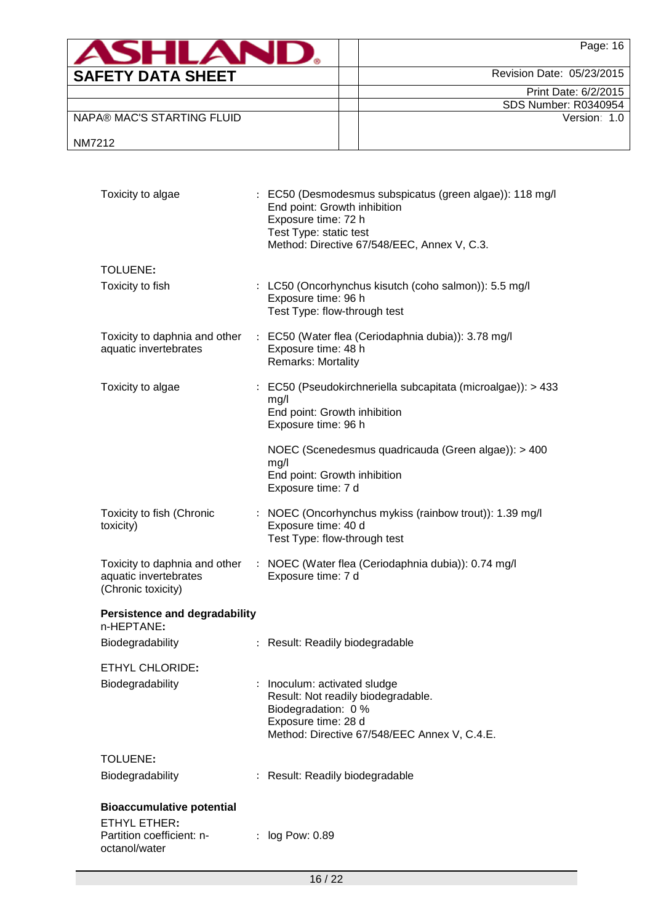| ASHLAN                     | Page: 16                    |
|----------------------------|-----------------------------|
| <b>SAFETY DATA SHEET</b>   | Revision Date: 05/23/2015   |
|                            | Print Date: 6/2/2015        |
|                            | <b>SDS Number: R0340954</b> |
| NAPA® MAC'S STARTING FLUID | Version: 1.0                |
| NM7212                     |                             |

| Toxicity to algae                                                             | : EC50 (Desmodesmus subspicatus (green algae)): 118 mg/l<br>End point: Growth inhibition<br>Exposure time: 72 h<br>Test Type: static test<br>Method: Directive 67/548/EEC, Annex V, C.3. |  |
|-------------------------------------------------------------------------------|------------------------------------------------------------------------------------------------------------------------------------------------------------------------------------------|--|
| TOLUENE:                                                                      |                                                                                                                                                                                          |  |
| Toxicity to fish                                                              | : LC50 (Oncorhynchus kisutch (coho salmon)): 5.5 mg/l<br>Exposure time: 96 h<br>Test Type: flow-through test                                                                             |  |
| Toxicity to daphnia and other<br>aquatic invertebrates                        | : EC50 (Water flea (Ceriodaphnia dubia)): 3.78 mg/l<br>Exposure time: 48 h<br>Remarks: Mortality                                                                                         |  |
| Toxicity to algae                                                             | : EC50 (Pseudokirchneriella subcapitata (microalgae)): > 433<br>mg/l<br>End point: Growth inhibition<br>Exposure time: 96 h                                                              |  |
|                                                                               | NOEC (Scenedesmus quadricauda (Green algae)): > 400<br>mg/l<br>End point: Growth inhibition<br>Exposure time: 7 d                                                                        |  |
| Toxicity to fish (Chronic<br>toxicity)                                        | : NOEC (Oncorhynchus mykiss (rainbow trout)): 1.39 mg/l<br>Exposure time: 40 d<br>Test Type: flow-through test                                                                           |  |
| Toxicity to daphnia and other<br>aquatic invertebrates<br>(Chronic toxicity)  | : NOEC (Water flea (Ceriodaphnia dubia)): 0.74 mg/l<br>Exposure time: 7 d                                                                                                                |  |
| <b>Persistence and degradability</b><br>n-HEPTANE:                            |                                                                                                                                                                                          |  |
| <b>Biodegradability</b>                                                       | : Result: Readily biodegradable                                                                                                                                                          |  |
| <b>ETHYL CHLORIDE:</b><br>Biodegradability                                    | Inoculum: activated sludge<br>Result: Not readily biodegradable.<br>Biodegradation: 0 %<br>Exposure time: 28 d<br>Method: Directive 67/548/EEC Annex V, C.4.E.                           |  |
| <b>TOLUENE:</b>                                                               |                                                                                                                                                                                          |  |
| Biodegradability                                                              | : Result: Readily biodegradable                                                                                                                                                          |  |
| <b>Bioaccumulative potential</b><br>ETHYL ETHER:<br>Partition coefficient: n- | log Pow: 0.89                                                                                                                                                                            |  |
| octanol/water                                                                 |                                                                                                                                                                                          |  |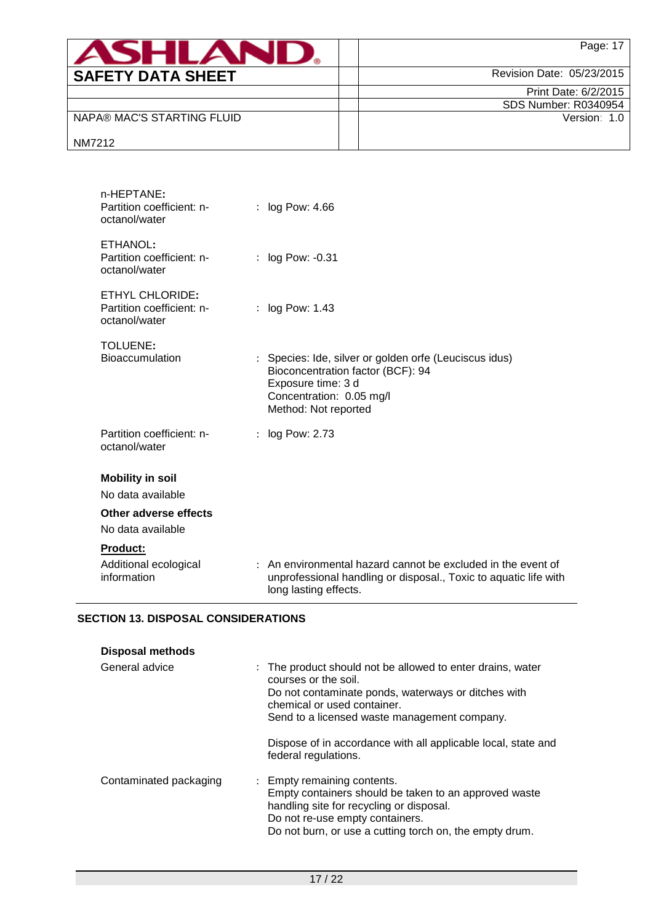| ASHI AF                    | Page: 17                    |
|----------------------------|-----------------------------|
| <b>SAFETY DATA SHEET</b>   | Revision Date: 05/23/2015   |
|                            | Print Date: 6/2/2015        |
|                            | <b>SDS Number: R0340954</b> |
| NAPA® MAC'S STARTING FLUID | Version: 1.0                |
| NM7212                     |                             |

| n-HEPTANE:<br>Partition coefficient: n-<br>octanol/water      | : $log Pow: 4.66$                                                                                                                                                     |
|---------------------------------------------------------------|-----------------------------------------------------------------------------------------------------------------------------------------------------------------------|
| ETHANOL:<br>Partition coefficient: n-<br>octanol/water        | $:$ log Pow: $-0.31$                                                                                                                                                  |
| ETHYL CHLORIDE:<br>Partition coefficient: n-<br>octanol/water | : log Pow: 1.43                                                                                                                                                       |
| TOLUENE:<br><b>Bioaccumulation</b>                            | : Species: Ide, silver or golden orfe (Leuciscus idus)<br>Bioconcentration factor (BCF): 94<br>Exposure time: 3 d<br>Concentration: 0.05 mg/l<br>Method: Not reported |
| Partition coefficient: n-<br>octanol/water                    | : log Pow: 2.73                                                                                                                                                       |
| <b>Mobility in soil</b><br>No data available                  |                                                                                                                                                                       |
| Other adverse effects<br>No data available                    |                                                                                                                                                                       |
| <b>Product:</b>                                               |                                                                                                                                                                       |
| Additional ecological<br>information                          | : An environmental hazard cannot be excluded in the event of<br>unprofessional handling or disposal., Toxic to aquatic life with<br>long lasting effects.             |

# **SECTION 13. DISPOSAL CONSIDERATIONS**

| <b>Disposal methods</b> |                                                                                                                                                                                                                                                                                           |
|-------------------------|-------------------------------------------------------------------------------------------------------------------------------------------------------------------------------------------------------------------------------------------------------------------------------------------|
| General advice          | : The product should not be allowed to enter drains, water<br>courses or the soil.<br>Do not contaminate ponds, waterways or ditches with<br>chemical or used container.<br>Send to a licensed waste management company.<br>Dispose of in accordance with all applicable local, state and |
| Contaminated packaging  | federal regulations.<br>: Empty remaining contents.                                                                                                                                                                                                                                       |
|                         | Empty containers should be taken to an approved waste<br>handling site for recycling or disposal.<br>Do not re-use empty containers.<br>Do not burn, or use a cutting torch on, the empty drum.                                                                                           |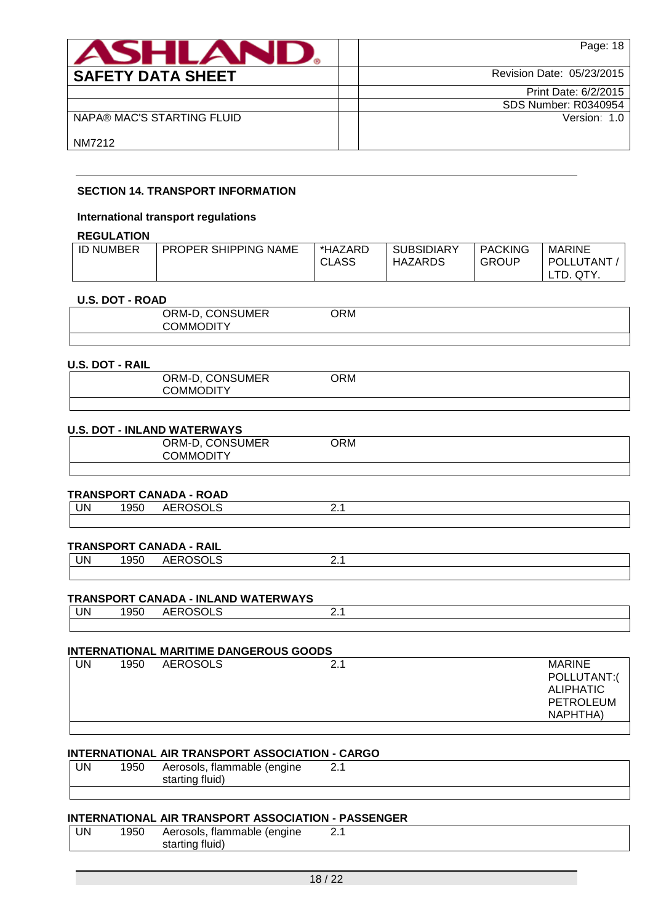| ASHLAN                     | Page: 18                    |
|----------------------------|-----------------------------|
| <b>SAFETY DATA SHEET</b>   | Revision Date: 05/23/2015   |
|                            | Print Date: 6/2/2015        |
|                            | <b>SDS Number: R0340954</b> |
| NAPA® MAC'S STARTING FLUID | Version: 1.0                |
| NM7212                     |                             |

#### **SECTION 14. TRANSPORT INFORMATION**

#### **International transport regulations**

# **REGULATION**

| <b>ID NUMBER</b> | <b>PROPER SHIPPING NAME</b> | *HAZARD<br><b>CLASS</b> | <b>SUBSIDIARY</b><br><b>HAZARDS</b> | <b>PACKING</b><br>GROUP | <b>MARINE</b><br>POLLUTANT |
|------------------|-----------------------------|-------------------------|-------------------------------------|-------------------------|----------------------------|
|                  |                             |                         |                                     |                         | TD.<br>QTY.                |

#### **U.S. DOT - ROAD**

| ORM-D, CONSUMER<br>COMMODITY | ORM |  |
|------------------------------|-----|--|
|                              |     |  |

#### **U.S. DOT - RAIL**

| <b>MANAC</b><br>11 H | $\sim$ $\sim$ $\sim$<br><b>NSUMER</b><br><b>JRM-</b><br>DNI:<br>້ | )RM |  |  |
|----------------------|-------------------------------------------------------------------|-----|--|--|
|----------------------|-------------------------------------------------------------------|-----|--|--|

#### **U.S. DOT - INLAND WATERWAYS**

| , CONSUMER<br>ORM-D,<br><b>COMMODITY</b> | ORM |  |
|------------------------------------------|-----|--|
|                                          |     |  |

#### **TRANSPORT CANADA - ROAD**

|    |                             | $\blacksquare$ |  |
|----|-----------------------------|----------------|--|
| UN | $\sim$ $\sim$ $\sim$<br>ນວເ | $\cdots$       |  |
|    |                             |                |  |

#### **TRANSPORT CANADA - RAIL**

| UN | $\sim$ $\sim$ $\sim$<br>ນວເ | $F_{\mathcal{D}}$ $\cap$ $\cap$ $\cap$<br>¬∟ |  |
|----|-----------------------------|----------------------------------------------|--|
|    |                             |                                              |  |

#### **TRANSPORT CANADA - INLAND WATERWAYS**

| UN | $  -$<br>.<br>м.<br>. זר<br>. | $-$ - $\sim$ - $\sim$<br>Λ1<br>ПL.<br>∪∟ט | - - |
|----|-------------------------------|-------------------------------------------|-----|
|    |                               |                                           |     |

#### **INTERNATIONAL MARITIME DANGEROUS GOODS**

| JN | 1950 | <b>AEROSOLS</b> | <b>MARINE</b>    |
|----|------|-----------------|------------------|
|    |      |                 | POLLUTANT:(      |
|    |      |                 | <b>ALIPHATIC</b> |
|    |      |                 | <b>PETROLEUM</b> |
|    |      |                 | NAPHTHA)         |
|    |      |                 |                  |

# **INTERNATIONAL AIR TRANSPORT ASSOCIATION - CARGO**

| UN | 1950 | flammable<br>Aerosols.<br>enaine) | <u>.</u> |  |
|----|------|-----------------------------------|----------|--|
|    |      | - 13<br>fluid)<br>.<br>. titic    |          |  |
|    |      |                                   |          |  |

# **INTERNATIONAL AIR TRANSPORT ASSOCIATION - PASSENGER**

| UN | 1950 | Aerosols, flammable (engine |  |
|----|------|-----------------------------|--|
|    |      | starting fluid)             |  |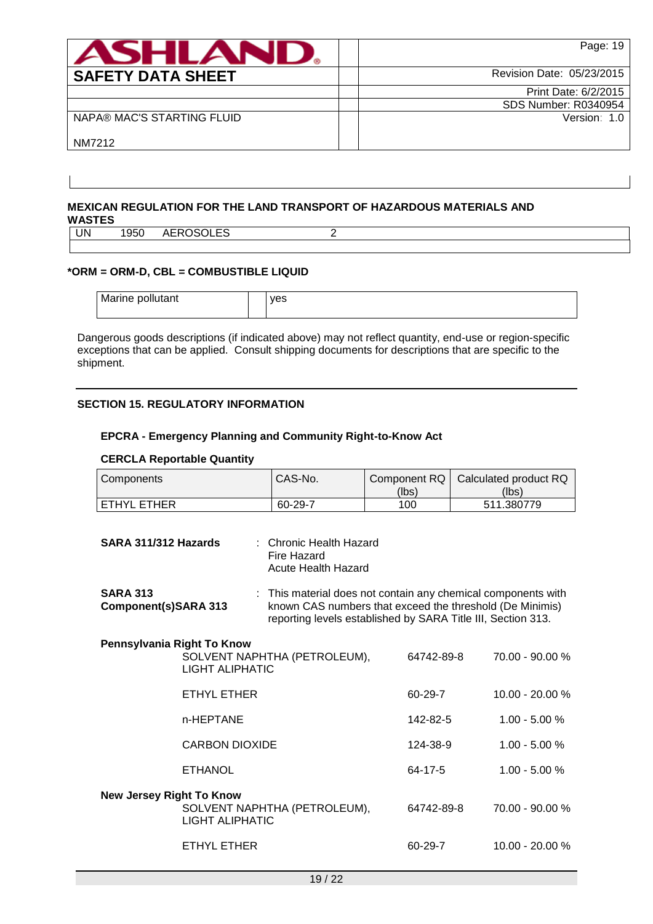| <b>ASHLAND</b>             | Page: 19                    |
|----------------------------|-----------------------------|
| <b>SAFETY DATA SHEET</b>   | Revision Date: 05/23/2015   |
|                            | Print Date: 6/2/2015        |
|                            | <b>SDS Number: R0340954</b> |
| NAPA® MAC'S STARTING FLUID | Version: 1.0                |
| NM7212                     |                             |

#### **MEXICAN REGULATION FOR THE LAND TRANSPORT OF HAZARDOUS MATERIALS AND WASTES**

| UN | ิงวบ | $\cdots$<br>л L<br>``<br>י – ה<br>◡––– |  |
|----|------|----------------------------------------|--|
|    |      |                                        |  |

## **\*ORM = ORM-D, CBL = COMBUSTIBLE LIQUID**

| Marine pollutant | yes |
|------------------|-----|
|                  |     |

Dangerous goods descriptions (if indicated above) may not reflect quantity, end-use or region-specific exceptions that can be applied. Consult shipping documents for descriptions that are specific to the shipment.

#### **SECTION 15. REGULATORY INFORMATION**

#### **EPCRA - Emergency Planning and Community Right-to-Know Act**

#### **CERCLA Reportable Quantity**

| Components  | CAS-No. | (lbs) | Component RQ   Calculated product RQ<br>(lbs) |
|-------------|---------|-------|-----------------------------------------------|
| ETHYL ETHER | 60-29-7 | 100   | 511.380779                                    |

| SARA 311/312 Hazards                    |                        | : Chronic Health Hazard<br>Fire Hazard<br><b>Acute Health Hazard</b>                                                                                                                      |            |                   |  |
|-----------------------------------------|------------------------|-------------------------------------------------------------------------------------------------------------------------------------------------------------------------------------------|------------|-------------------|--|
| <b>SARA 313</b><br>Component(s)SARA 313 |                        | : This material does not contain any chemical components with<br>known CAS numbers that exceed the threshold (De Minimis)<br>reporting levels established by SARA Title III, Section 313. |            |                   |  |
| Pennsylvania Right To Know              | <b>LIGHT ALIPHATIC</b> | SOLVENT NAPHTHA (PETROLEUM),                                                                                                                                                              | 64742-89-8 | 70.00 - 90.00 %   |  |
|                                         | ETHYL ETHER            |                                                                                                                                                                                           | 60-29-7    | 10.00 - 20.00 %   |  |
|                                         | n-HEPTANE              |                                                                                                                                                                                           | 142-82-5   | $1.00 - 5.00 %$   |  |
|                                         | <b>CARBON DIOXIDE</b>  |                                                                                                                                                                                           | 124-38-9   | $1.00 - 5.00 %$   |  |
|                                         | <b>ETHANOL</b>         |                                                                                                                                                                                           | 64-17-5    | $1.00 - 5.00 %$   |  |
| <b>New Jersey Right To Know</b>         | <b>LIGHT ALIPHATIC</b> | SOLVENT NAPHTHA (PETROLEUM),                                                                                                                                                              | 64742-89-8 | 70.00 - 90.00 %   |  |
|                                         | ETHYL ETHER            |                                                                                                                                                                                           | 60-29-7    | $10.00 - 20.00 %$ |  |
|                                         |                        |                                                                                                                                                                                           |            |                   |  |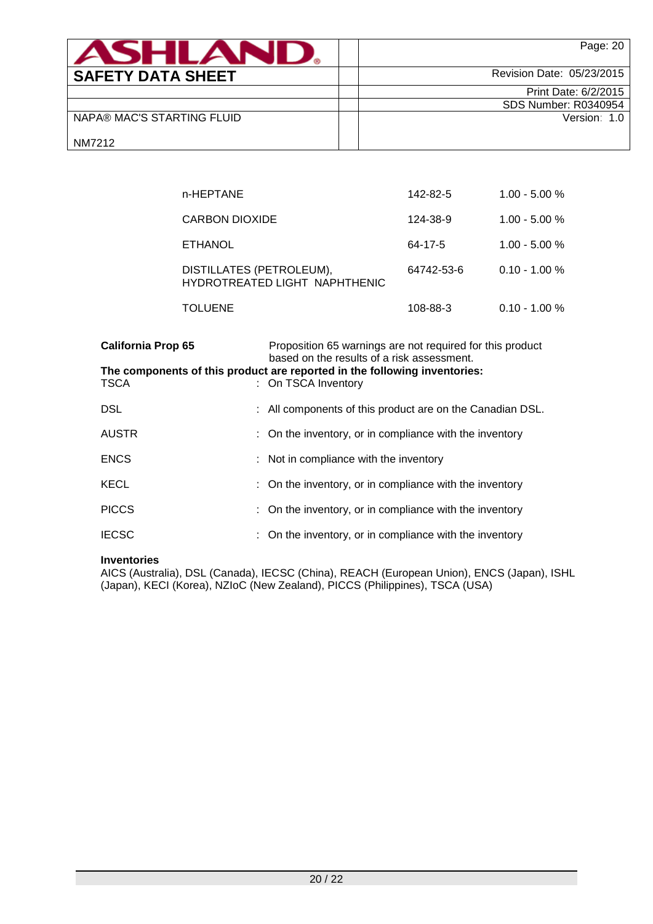| <b>ASHLAND</b>             | Page: 20                  |
|----------------------------|---------------------------|
| <b>SAFETY DATA SHEET</b>   | Revision Date: 05/23/2015 |
|                            | Print Date: 6/2/2015      |
|                            | SDS Number: R0340954      |
| NAPA® MAC'S STARTING FLUID | Version: 1.0              |
| NM7212                     |                           |

| n-HEPTANE                                                 | 142-82-5   | $1.00 - 5.00 %$ |
|-----------------------------------------------------------|------------|-----------------|
| CARBON DIOXIDE                                            | 124-38-9   | $1.00 - 5.00 %$ |
| <b>ETHANOL</b>                                            | 64-17-5    | $1.00 - 5.00 %$ |
| DISTILLATES (PETROLEUM),<br>HYDROTREATED LIGHT NAPHTHENIC | 64742-53-6 | $0.10 - 1.00 %$ |
| TOLUENE                                                   | 108-88-3   | $0.10 - 1.00 %$ |

| <b>California Prop 65</b> | Proposition 65 warnings are not required for this product<br>based on the results of a risk assessment. |
|---------------------------|---------------------------------------------------------------------------------------------------------|
| <b>TSCA</b>               | The components of this product are reported in the following inventories:<br>: On TSCA Inventory        |
| <b>DSL</b>                | : All components of this product are on the Canadian DSL.                                               |
| <b>AUSTR</b>              | : On the inventory, or in compliance with the inventory                                                 |
| <b>ENCS</b>               | : Not in compliance with the inventory                                                                  |
| <b>KECL</b>               | : On the inventory, or in compliance with the inventory                                                 |
| <b>PICCS</b>              | : On the inventory, or in compliance with the inventory                                                 |
| <b>IECSC</b>              | : On the inventory, or in compliance with the inventory                                                 |

#### **Inventories**

AICS (Australia), DSL (Canada), IECSC (China), REACH (European Union), ENCS (Japan), ISHL (Japan), KECI (Korea), NZIoC (New Zealand), PICCS (Philippines), TSCA (USA)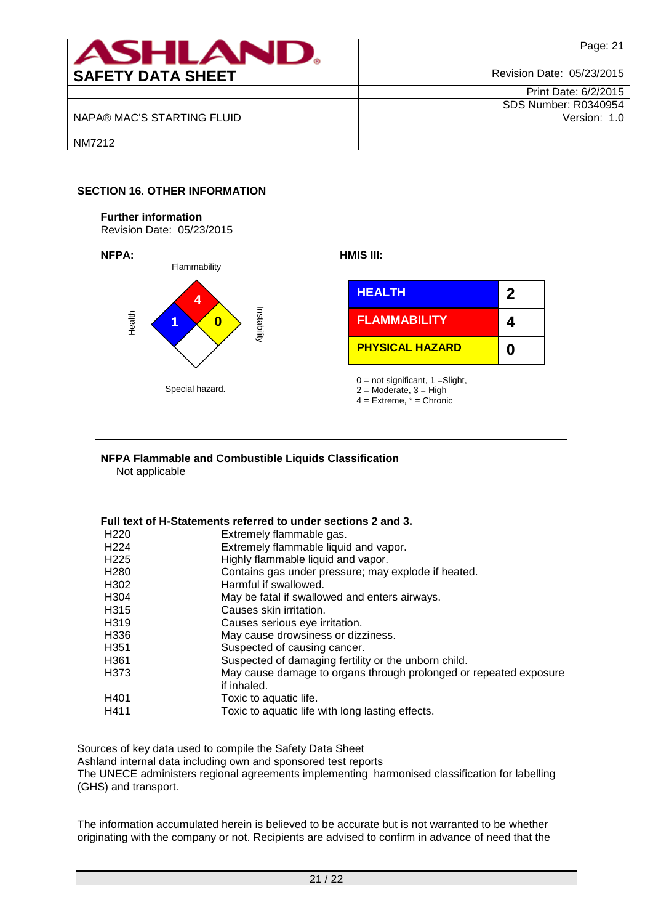| <b>ASHLAN</b>              | Page: 21                  |
|----------------------------|---------------------------|
| <b>SAFETY DATA SHEET</b>   | Revision Date: 05/23/2015 |
|                            | Print Date: 6/2/2015      |
|                            | SDS Number: R0340954      |
| NAPA® MAC'S STARTING FLUID | Version: 1.0              |
| NM7212                     |                           |

## **SECTION 16. OTHER INFORMATION**

#### **Further information**

Revision Date: 05/23/2015



## **NFPA Flammable and Combustible Liquids Classification**

Not applicable

#### **Full text of H-Statements referred to under sections 2 and 3.**

| H220             | Extremely flammable gas.                                          |
|------------------|-------------------------------------------------------------------|
| H <sub>224</sub> | Extremely flammable liquid and vapor.                             |
| H225             | Highly flammable liquid and vapor.                                |
| H280             | Contains gas under pressure; may explode if heated.               |
| H302             | Harmful if swallowed.                                             |
| H304             | May be fatal if swallowed and enters airways.                     |
| H315             | Causes skin irritation.                                           |
| H319             | Causes serious eye irritation.                                    |
| H336             | May cause drowsiness or dizziness.                                |
| H351             | Suspected of causing cancer.                                      |
| H361             | Suspected of damaging fertility or the unborn child.              |
| H373             | May cause damage to organs through prolonged or repeated exposure |
|                  | if inhaled.                                                       |
| H401             | Toxic to aquatic life.                                            |
| H411             | Toxic to aquatic life with long lasting effects.                  |
|                  |                                                                   |

Sources of key data used to compile the Safety Data Sheet

Ashland internal data including own and sponsored test reports

The UNECE administers regional agreements implementing harmonised classification for labelling (GHS) and transport.

The information accumulated herein is believed to be accurate but is not warranted to be whether originating with the company or not. Recipients are advised to confirm in advance of need that the